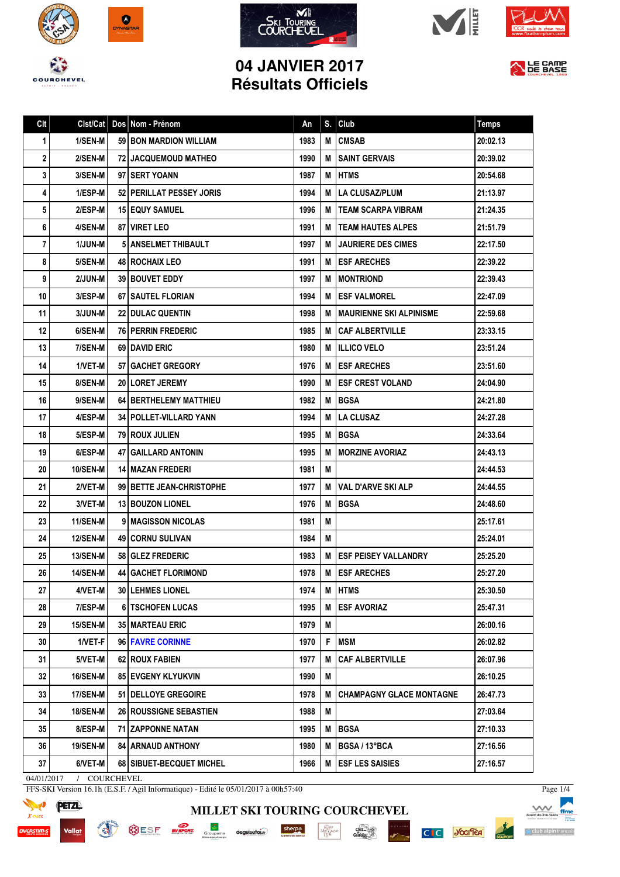









## **04 JANVIER 2017 Résultats Officiels**



| Clt | Clst/Cat        | Dos Nom - Prénom              | An   | S. | Club                            | <b>Temps</b> |
|-----|-----------------|-------------------------------|------|----|---------------------------------|--------------|
| 1   | 1/SEN-M         | <b>59 BON MARDION WILLIAM</b> | 1983 | M  | <b>CMSAB</b>                    | 20:02.13     |
| 2   | 2/SEN-M         | <b>72 JACQUEMOUD MATHEO</b>   | 1990 | М  | <b>SAINT GERVAIS</b>            | 20:39.02     |
| 3   | 3/SEN-M         | 97 SERT YOANN                 | 1987 | M  | <b>I HTMS</b>                   | 20:54.68     |
| 4   | 1/ESP-M         | 52 PERILLAT PESSEY JORIS      | 1994 | M  | <b>LA CLUSAZ/PLUM</b>           | 21:13.97     |
| 5   | 2/ESP-M         | <b>15 EQUY SAMUEL</b>         | 1996 | м  | <b>TEAM SCARPA VIBRAM</b>       | 21:24.35     |
| 6   | 4/SEN-M         | 87   VIRET LEO                | 1991 | м  | <b>ITEAM HAUTES ALPES</b>       | 21:51.79     |
| 7   | <b>1/JUN-M</b>  | <b>5 ANSELMET THIBAULT</b>    | 1997 | м  | <b>JAURIERE DES CIMES</b>       | 22:17.50     |
| 8   | 5/SEN-M         | <b>48 ROCHAIX LEO</b>         | 1991 | м  | <b>ESF ARECHES</b>              | 22:39.22     |
| 9   | 2/JUN-M         | <b>39 BOUVET EDDY</b>         | 1997 | м  | <b>MONTRIOND</b>                | 22:39.43     |
| 10  | 3/ESP-M         | 67   SAUTEL FLORIAN           | 1994 | м  | <b>ESF VALMOREL</b>             | 22:47.09     |
| 11  | <b>3/JUN-M</b>  | <b>22 DULAC QUENTIN</b>       | 1998 | м  | <b>MAURIENNE SKI ALPINISME</b>  | 22:59.68     |
| 12  | 6/SEN-M         | <b>76 PERRIN FREDERIC</b>     | 1985 | м  | <b>CAF ALBERTVILLE</b>          | 23:33.15     |
| 13  | 7/SEN-M         | <b>69 I DAVID ERIC</b>        | 1980 | м  | <b>ILLICO VELO</b>              | 23:51.24     |
| 14  | 1/VET-M         | 57 GACHET GREGORY             | 1976 | м  | <b>ESF ARECHES</b>              | 23:51.60     |
| 15  | 8/SEN-M         | 20 LORET JEREMY               | 1990 | М  | <b>ESF CREST VOLAND</b>         | 24:04.90     |
| 16  | 9/SEN-M         | <b>64 BERTHELEMY MATTHIEU</b> | 1982 | м  | <b>BGSA</b>                     | 24:21.80     |
| 17  | 4/ESP-M         | 34   POLLET-VILLARD YANN      | 1994 | м  | <b>LA CLUSAZ</b>                | 24:27.28     |
| 18  | 5/ESP-M         | 79 ROUX JULIEN                | 1995 | M  | <b>BGSA</b>                     | 24:33.64     |
| 19  | 6/ESP-M         | <b>47   GAILLARD ANTONIN</b>  | 1995 | М  | <b>MORZINE AVORIAZ</b>          | 24:43.13     |
| 20  | 10/SEN-M        | <b>14 I MAZAN FREDERI</b>     | 1981 | M  |                                 | 24:44.53     |
| 21  | 2/VET-M         | 99 BETTE JEAN-CHRISTOPHE      | 1977 | М  | <b>VAL D'ARVE SKI ALP</b>       | 24:44.55     |
| 22  | 3/VET-M         | <b>13 BOUZON LIONEL</b>       | 1976 | М  | <b>BGSA</b>                     | 24:48.60     |
| 23  | 11/SEN-M        | <b>9 I MAGISSON NICOLAS</b>   | 1981 | M  |                                 | 25:17.61     |
| 24  | <b>12/SEN-M</b> | <b>49 I CORNU SULIVAN</b>     | 1984 | M  |                                 | 25:24.01     |
| 25  | <b>13/SEN-M</b> | 58 GLEZ FREDERIC              | 1983 | М  | <b>ESF PEISEY VALLANDRY</b>     | 25:25.20     |
| 26  | <b>14/SEN-M</b> | <b>44   GACHET FLORIMOND</b>  | 1978 |    | M <b>ESF ARECHES</b>            | 25:27.20     |
| 27  | 4/VET-M         | <b>30 LEHMES LIONEL</b>       | 1974 | Μ  | <b>HTMS</b>                     | 25:30.50     |
| 28  | 7/ESP-M         | <b>6 I TSCHOFEN LUCAS</b>     | 1995 | M  | <b>ESF AVORIAZ</b>              | 25:47.31     |
| 29  | <b>15/SEN-M</b> | <b>35   MARTEAU ERIC</b>      | 1979 | M  |                                 | 26:00.16     |
| 30  | 1/VET-F         | 96 FAVRE CORINNE              | 1970 | F  | <b>MSM</b>                      | 26:02.82     |
| 31  | 5/VET-M         | 62 ROUX FABIEN                | 1977 | M  | <b>CAF ALBERTVILLE</b>          | 26:07.96     |
| 32  | <b>16/SEN-M</b> | 85 EVGENY KLYUKVIN            | 1990 | M  |                                 | 26:10.25     |
| 33  | 17/SEN-M        | 51 I DELLOYE GREGOIRE         | 1978 | M  | <b>CHAMPAGNY GLACE MONTAGNE</b> | 26:47.73     |
| 34  | <b>18/SEN-M</b> | <b>26 ROUSSIGNE SEBASTIEN</b> | 1988 | M  |                                 | 27:03.64     |
| 35  | 8/ESP-M         | 71 ZAPPONNE NATAN             | 1995 | M  | <b>BGSA</b>                     | 27:10.33     |
| 36  | <b>19/SEN-M</b> | <b>84 ARNAUD ANTHONY</b>      | 1980 | M  | <b>BGSA / 13°BCA</b>            | 27:16.56     |
| 37  | 6/VET-M         | 68   SIBUET-BECQUET MICHEL    | 1966 | М  | <b>ESF LES SAISIES</b>          | 27:16.57     |

04/01/2017 / COURCHEVEL

FFS-SKI Version 16.1h (E.S.F. / Agil Informatique) - Edité le 05/01/2017 à 00h57:40





**MILLET SKI TOURING COURCHEVEL**

 $\cdot \underbrace{\mathop{\rm Hom}\limits_{\mathop{\rm DDP}\nolimits(\mathop{\rm GRND}\nolimits)}^{\mathop{\rm Hom}\nolimits}}_{\mathop{\rm DDP}\nolimits(\mathop{\rm Sp}\nolimits)}$ 

 $\frac{\text{chez}}{\text{Cauchy}}$ 

sherpa



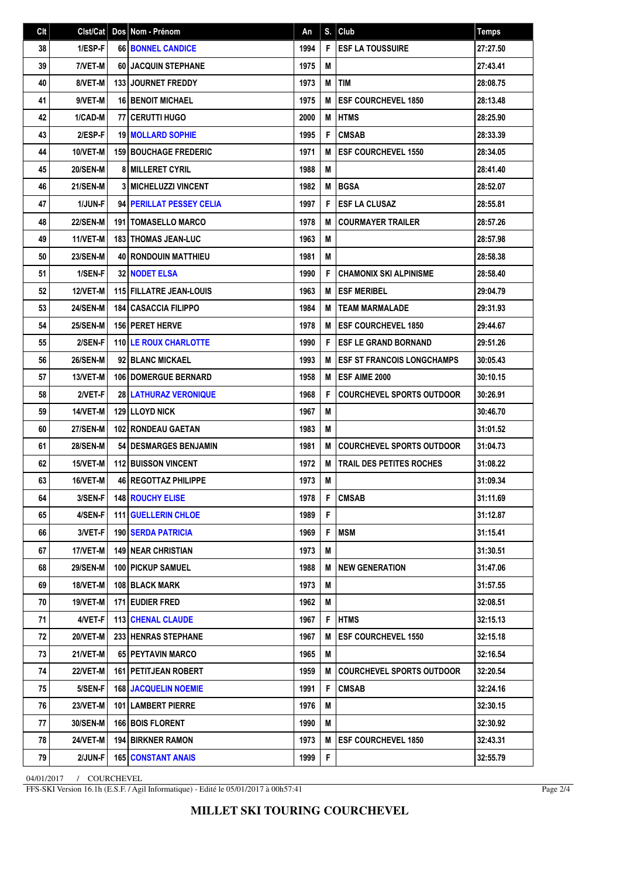| Clt |                 | Cist/Cat   Dos   Nom - Prénom  | An   | S. | Club                               | <b>Temps</b> |
|-----|-----------------|--------------------------------|------|----|------------------------------------|--------------|
| 38  | 1/ESP-F         | <b>66 BONNEL CANDICE</b>       | 1994 | F  | <b>I ESF LA TOUSSUIRE</b>          | 27:27.50     |
| 39  | 7/VET-M         | 60 JACQUIN STEPHANE            | 1975 | M  |                                    | 27:43.41     |
| 40  | 8/VET-M         | 133 JOURNET FREDDY             | 1973 | M  | <b>TIM</b>                         | 28:08.75     |
| 41  | 9/VET-M         | <b>16 BENOIT MICHAEL</b>       | 1975 | M  | <b>IESF COURCHEVEL 1850</b>        | 28:13.48     |
| 42  | 1/CAD-M         | 77 CERUTTI HUGO                | 2000 | М  | <b>HTMS</b>                        | 28:25.90     |
| 43  | 2/ESP-F         | <b>19 MOLLARD SOPHIE</b>       | 1995 | F  | <b>CMSAB</b>                       | 28:33.39     |
| 44  | 10/VET-M        | <b>159 BOUCHAGE FREDERIC</b>   | 1971 | М  | <b>IESF COURCHEVEL 1550</b>        | 28:34.05     |
| 45  | <b>20/SEN-M</b> | <b>8 MILLERET CYRIL</b>        | 1988 | M  |                                    | 28:41.40     |
| 46  | 21/SEN-M        | 3 MICHELUZZI VINCENT           | 1982 |    | <b>MIBGSA</b>                      | 28:52.07     |
| 47  | 1/JUN-F         | 94 PERILLAT PESSEY CELIA       | 1997 | F  | <b>IESF LA CLUSAZ</b>              | 28:55.81     |
| 48  | <b>22/SEN-M</b> | <b>191   TOMASELLO MARCO</b>   | 1978 | м  | <b>COURMAYER TRAILER</b>           | 28:57.26     |
| 49  | 11/VET-M        | <b>183   THOMAS JEAN-LUC</b>   | 1963 | M  |                                    | 28:57.98     |
| 50  | <b>23/SEN-M</b> | <b>40 RONDOUIN MATTHIEU</b>    | 1981 | M  |                                    | 28:58.38     |
| 51  | 1/SEN-F         | 32 NODET ELSA                  | 1990 | F  | <b>CHAMONIX SKI ALPINISME</b>      | 28:58.40     |
| 52  | <b>12/VET-M</b> | <b>115 FILLATRE JEAN-LOUIS</b> | 1963 | М  | <b>IESF MERIBEL</b>                | 29:04.79     |
| 53  | 24/SEN-M        | <b>184 CASACCIA FILIPPO</b>    | 1984 | М  | <b>TEAM MARMALADE</b>              | 29:31.93     |
| 54  | <b>25/SEN-M</b> | <b>156   PERET HERVE</b>       | 1978 | М  | <b>IESF COURCHEVEL 1850</b>        | 29:44.67     |
| 55  | 2/SEN-F         | <b>110 LE ROUX CHARLOTTE</b>   | 1990 | F  | <b>I ESF LE GRAND BORNAND</b>      | 29:51.26     |
| 56  | <b>26/SEN-M</b> | 92 BLANC MICKAEL               | 1993 | М  | <b>IESF ST FRANCOIS LONGCHAMPS</b> | 30:05.43     |
| 57  | 13/VET-M        | <b>106   DOMERGUE BERNARD</b>  | 1958 | M  | <b>IESF AIME 2000</b>              | 30:10.15     |
| 58  | 2/VET-F         | <b>28 LATHURAZ VERONIQUE</b>   | 1968 | F  | <b>COURCHEVEL SPORTS OUTDOOR</b>   | 30:26.91     |
| 59  | 14/VET-M        | 129 LLOYD NICK                 | 1967 | M  |                                    | 30:46.70     |
| 60  | 27/SEN-M        | <b>102 RONDEAU GAETAN</b>      | 1983 | M  |                                    | 31:01.52     |
| 61  | <b>28/SEN-M</b> | <b>54 I DESMARGES BENJAMIN</b> | 1981 | М  | <b>COURCHEVEL SPORTS OUTDOOR</b>   | 31:04.73     |
| 62  | 15/VET-M        | <b>112 BUISSON VINCENT</b>     | 1972 | M  | <b>TRAIL DES PETITES ROCHES</b>    | 31:08.22     |
| 63  | 16/VET-M        | <b>46 REGOTTAZ PHILIPPE</b>    | 1973 | M  |                                    | 31:09.34     |
| 64  | $3/SEN-F$       | 148 ROUCHY ELISE               | 1978 | F. | <b>CMSAB</b>                       | 31:11.69     |
| 65  | 4/SEN-F         | <b>111 GUELLERIN CHLOE</b>     | 1989 | F  |                                    | 31:12.87     |
| 66  | 3/VET-F         | <b>190   SERDA PATRICIA</b>    | 1969 | F  | <b>MSM</b>                         | 31:15.41     |
| 67  | 17/VET-M        | <b>149 INEAR CHRISTIAN</b>     | 1973 | M  |                                    | 31:30.51     |
| 68  | <b>29/SEN-M</b> | <b>100   PICKUP SAMUEL</b>     | 1988 | М  | <b>INEW GENERATION</b>             | 31:47.06     |
| 69  | 18/VET-M        | <b>108 BLACK MARK</b>          | 1973 | M  |                                    | 31:57.55     |
| 70  | 19/VET-M        | <b>171 EUDIER FRED</b>         | 1962 | М  |                                    | 32:08.51     |
| 71  | 4/VET-F         | <b>113 CHENAL CLAUDE</b>       | 1967 | F  | <b>HTMS</b>                        | 32:15.13     |
| 72  | 20/VET-M        | <b>233 HENRAS STEPHANE</b>     | 1967 | м  | <b>ESF COURCHEVEL 1550</b>         | 32:15.18     |
| 73  | 21/VET-M        | 65 PEYTAVIN MARCO              | 1965 | М  |                                    | 32:16.54     |
| 74  | 22/VET-M        | <b>161 I PETITJEAN ROBERT</b>  | 1959 | М  | COURCHEVEL SPORTS OUTDOOR          | 32:20.54     |
| 75  | 5/SEN-F         | <b>168 JACQUELIN NOEMIE</b>    | 1991 | F  | <b>CMSAB</b>                       | 32:24.16     |
| 76  | 23/VET-M        | <b>101   LAMBERT PIERRE</b>    | 1976 | M  |                                    | 32:30.15     |
| 77  | <b>30/SEN-M</b> | 166 BOIS FLORENT               | 1990 | M  |                                    | 32:30.92     |
| 78  | 24/VET-M        | <b>194 BIRKNER RAMON</b>       | 1973 | М  | <b>IESF COURCHEVEL 1850</b>        | 32:43.31     |
| 79  | 2/JUN-F         | <b>165   CONSTANT ANAIS</b>    | 1999 | F  |                                    | 32:55.79     |

04/01/2017 / COURCHEVEL

FFS-SKI Version 16.1h (E.S.F. / Agil Informatique) - Edité le 05/01/2017 à 00h57:41

Page 2/4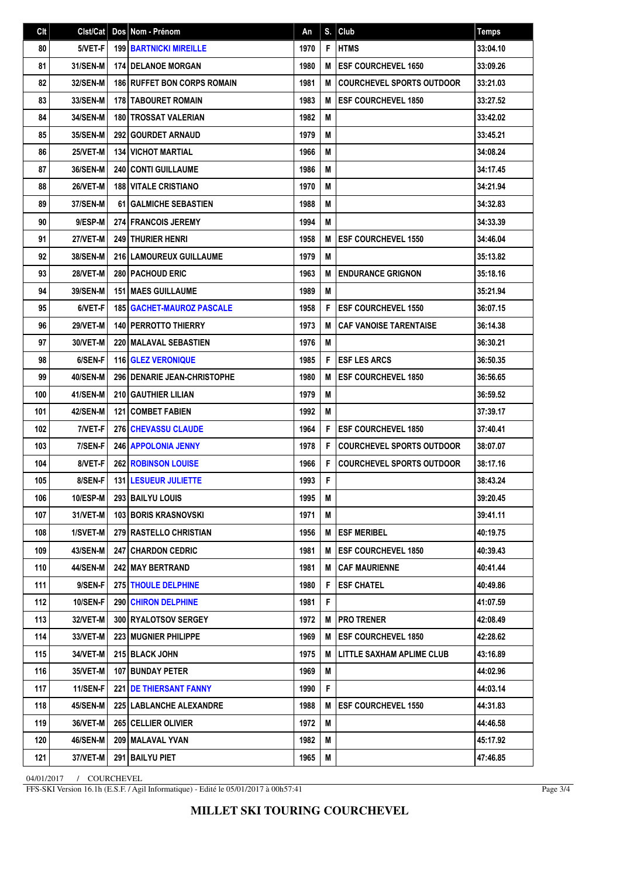| Clt | Clst/Cat        | Dos Nom - Prénom                     | An   | S. | Club                             | <b>Temps</b> |
|-----|-----------------|--------------------------------------|------|----|----------------------------------|--------------|
| 80  | 5/VET-F         | <b>199 BARTNICKI MIREILLE</b>        | 1970 | F  | <b>HTMS</b>                      | 33:04.10     |
| 81  | <b>31/SEN-M</b> | <b>174 I DELANOE MORGAN</b>          | 1980 | M  | <b>ESF COURCHEVEL 1650</b>       | 33:09.26     |
| 82  | 32/SEN-M        | <b>186 RUFFET BON CORPS ROMAIN</b>   | 1981 | M  | <b>COURCHEVEL SPORTS OUTDOOR</b> | 33:21.03     |
| 83  | 33/SEN-M        | 178 TABOURET ROMAIN                  | 1983 | M  | <b>ESF COURCHEVEL 1850</b>       | 33:27.52     |
| 84  | 34/SEN-M        | 180 TROSSAT VALERIAN                 | 1982 | M  |                                  | 33:42.02     |
| 85  | 35/SEN-M        | <b>292 GOURDET ARNAUD</b>            | 1979 | M  |                                  | 33:45.21     |
| 86  | 25/VET-M        | <b>134 VICHOT MARTIAL</b>            | 1966 | M  |                                  | 34:08.24     |
| 87  | 36/SEN-M        | <b>240 CONTI GUILLAUME</b>           | 1986 | M  |                                  | 34:17.45     |
| 88  | 26/VET-M        | <b>188 VITALE CRISTIANO</b>          | 1970 | M  |                                  | 34:21.94     |
| 89  | <b>37/SEN-M</b> | <b>61 GALMICHE SEBASTIEN</b>         | 1988 | M  |                                  | 34:32.83     |
| 90  | 9/ESP-M         | <b>274 FRANCOIS JEREMY</b>           | 1994 | M  |                                  | 34:33.39     |
| 91  | 27/VET-M        | <b>249 THURIER HENRI</b>             | 1958 | M  | <b>ESF COURCHEVEL 1550</b>       | 34:46.04     |
| 92  | 38/SEN-M        | <b>216 LAMOUREUX GUILLAUME</b>       | 1979 | M  |                                  | 35:13.82     |
| 93  | 28/VET-M        | 280 PACHOUD ERIC                     | 1963 | M  | <b>ENDURANCE GRIGNON</b>         | 35:18.16     |
| 94  | <b>39/SEN-M</b> | <b>151 I MAES GUILLAUME</b>          | 1989 | M  |                                  | 35:21.94     |
| 95  | 6/VET-F         | <b>185   GACHET-MAUROZ PASCALE</b>   | 1958 | F  | <b>ESF COURCHEVEL 1550</b>       | 36:07.15     |
| 96  | <b>29/VET-M</b> | 140 PERROTTO THIERRY                 | 1973 | M  | <b>CAF VANOISE TARENTAISE</b>    | 36:14.38     |
| 97  | 30/VET-M        | <b>220 MALAVAL SEBASTIEN</b>         | 1976 | M  |                                  | 36:30.21     |
| 98  | 6/SEN-F         | 116 GLEZ VERONIQUE                   | 1985 | F  | <b>ESF LES ARCS</b>              | 36:50.35     |
| 99  | <b>40/SEN-M</b> | <b>296   DENARIE JEAN-CHRISTOPHE</b> | 1980 | M  | <b>ESF COURCHEVEL 1850</b>       | 36:56.65     |
| 100 | 41/SEN-M        | <b>210 GAUTHIER LILIAN</b>           | 1979 | M  |                                  | 36:59.52     |
| 101 | <b>42/SEN-M</b> | <b>121 COMBET FABIEN</b>             | 1992 | M  |                                  | 37:39.17     |
| 102 | 7/VET-F         | <b>276 CHEVASSU CLAUDE</b>           | 1964 | F  | <b>ESF COURCHEVEL 1850</b>       | 37:40.41     |
| 103 | 7/SEN-F         | <b>246   APPOLONIA JENNY</b>         | 1978 | F  | <b>COURCHEVEL SPORTS OUTDOOR</b> | 38:07.07     |
| 104 | 8/VET-F         | <b>262 ROBINSON LOUISE</b>           | 1966 | F  | <b>COURCHEVEL SPORTS OUTDOOR</b> | 38:17.16     |
| 105 | 8/SEN-F         | <b>131 LESUEUR JULIETTE</b>          | 1993 | F  |                                  | 38:43.24     |
| 106 | $10$ /ESP-M     | 293 BAILYU LOUIS                     | 1995 | M  |                                  | 39:20.45     |
| 107 | 31/VET-M        | <b>103 BORIS KRASNOVSKI</b>          | 1971 | М  |                                  | 39:41.11     |
| 108 | 1/SVET-M        | 279 RASTELLO CHRISTIAN               | 1956 | M  | <b>ESF MERIBEL</b>               | 40:19.75     |
| 109 | 43/SEN-M        | 247 CHARDON CEDRIC                   | 1981 | M  | <b>ESF COURCHEVEL 1850</b>       | 40:39.43     |
| 110 | 44/SEN-M        | 242 MAY BERTRAND                     | 1981 | M  | <b>CAF MAURIENNE</b>             | 40:41.44     |
| 111 | 9/SEN-F         | 275 THOULE DELPHINE                  | 1980 | F  | <b>ESF CHATEL</b>                | 40:49.86     |
| 112 | <b>10/SEN-F</b> | <b>290 CHIRON DELPHINE</b>           | 1981 | F  |                                  | 41:07.59     |
| 113 | 32/VET-M        | 300 RYALOTSOV SERGEY                 | 1972 | M  | <b> PRO TRENER</b>               | 42:08.49     |
| 114 | 33/VET-M        | 223 MUGNIER PHILIPPE                 | 1969 | M  | <b>ESF COURCHEVEL 1850</b>       | 42:28.62     |
| 115 | 34/VET-M        | 215 BLACK JOHN                       | 1975 | M  | LITTLE SAXHAM APLIME CLUB        | 43:16.89     |
| 116 | <b>35/VET-M</b> | <b>107 BUNDAY PETER</b>              | 1969 | M  |                                  | 44:02.96     |
| 117 | 11/SEN-F        | <b>221   DE THIERSANT FANNY</b>      | 1990 | F  |                                  | 44:03.14     |
| 118 | 45/SEN-M        | <b>225 LABLANCHE ALEXANDRE</b>       | 1988 | м  | <b>ESF COURCHEVEL 1550</b>       | 44:31.83     |
| 119 | 36/VET-M        | 265 CELLIER OLIVIER                  | 1972 | M  |                                  | 44:46.58     |
| 120 | 46/SEN-M        | 209   MALAVAL YVAN                   | 1982 | M  |                                  | 45:17.92     |
| 121 | 37/VET-M        | 291 BAILYU PIET                      | 1965 | M  |                                  | 47:46.85     |

04/01/2017 / COURCHEVEL

FFS-SKI Version 16.1h (E.S.F. / Agil Informatique) - Edité le 05/01/2017 à 00h57:41

Page 3/4